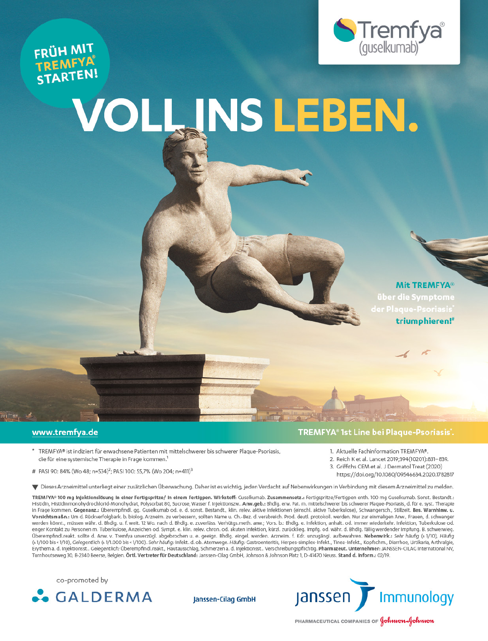



# VOLL INS LEBEN.

**Mit TREMFYA®** triumphieren!<sup>#</sup>

#### www.tremfya.de

minute of

- \* TREMFYA® ist indiziert für erwachsene Patienten mit mittelschwerer bis schwerer Plaque-Psoriasis, die für eine systemische Therapie in Frage kommen.<sup>1</sup>
- # PASI 90: 84% (Wo 48; n=534)<sup>2</sup>; PASI 100: 55,7% (Wo 204; n=411)<sup>3</sup>

## TREMFYA® 1st Line bei Plaque-Psoriasis'.

- 1. Aktuelle Fachinformation TREMFYA®
- 2. Reich K et al. Lancet 2019;394(10201):831-839.
- 3. Griffiths CEM et al. J Dermatol Treat (2020)
	- https://doi.org/10.1080/09546634.2020.1782817

▼ Dieses Arzneimittel unterliegt einer zusätzlichen Überwachung. Daher ist es wichtig, jeden Verdacht auf Nebenwirkungen in Verbindung mit diesem Arzneimittel zu melden.

TREMFYA® 100 mg Injektionslösung in einer Fertigspritze/ in einem Fertigpen. Wirkstoff: Guselkumab. Zusammensetz.: Fertigspritze/Fertigpen enth. 100 mg Guselkumab. Sonst. Bestandt.: Histidin, Histidinmonohydrochlorid-Monohydrat, Polysorbat 80, Sucrose, Wasser f. Injektionszw.. Anw.geb.: Bhdlg. erw. Pat. m. mittelschwerer bis schwerer Plaque-Psoriasis, d. für e. syst. Therapie in Frage kommen. Gegenanz.: Überempfindl. gg. Guselkumab od. e. d. sonst. Bestandt., klin. relev. aktive Infektionen (einschl. aktive Tuberkulose), Schwangersch., Stillzeit. Bes. Warnhinw. u. Vorsichtsmaßn.: Um d. Rückverfolgbark. b. biolog. Arzneim. zu verbessern, sollten Name u. Ch.-Bez. d. verabreich. Prod. deutl. protokoll. werden. Nur zur einmaligen Anw., Frauen, d. schwanger werden könnt., müssen währ. d. Bhdlg. u. f. weit. 12 Wo. nach d. Bhdlg. e. zuverläss. Verhütgs.meth. anw.; Vors. b.: Bhdlg. e. Infektion, anhalt. od. immer wiederkehr. Infektion, Tuberkulose od. enger Kontakt zu Personen m. Tuberkulose, Anzeichen od. Sympt. e. klin. relev. chron. od. akuten Infektion, kürzl. zurücklieg. Impfg. od. währ. d. Bhdlg. fällig werdender Impfung. B. schwerwieg. Überempfindl.reakt. sollte d. Anw. v. Tremfya unverzügl. abgebrochen u. e. geeign. Bhdlg. eingel. werden. Arzneim. f. Kdr. unzugängl. aufbewahren. Nebenwirk.: Sehr häufig (≥ 1/10), Häufig (≥1/100 bis <1/10), Gelegentlich (≥1/1.000 bis <1/100). Sehr häufig: Infekt. d. ob. Atemwege. Häufig: Gastroenteritis, Herpes-simplex-Infekt., Tinea-Infekt., Kopfschm., Diarrhoe, Urtikaria, Arthralgie, Erythem a. d. Injektionsst.. Gelegentlich: Überempfindl.reakt., Hautausschlag, Schmerzen a. d. Injektionsst.. Verschreibungspflichtig. Pharmazeut. Unternehmer: JANSSEN-CILAG International NV, Turnhoutseweg 30, B-2340 Beerse, Belgien. Örtl. Vertreter für Deutschland: Janssen-Cilag GmbH, Johnson & Johnson Platz 1, D-41470 Neuss. Stand d. Inform.: 02/19.

co-promoted by



Janssen-Cilag GmbH



PHARMACEUTICAL COMPANIES OF **Johnson**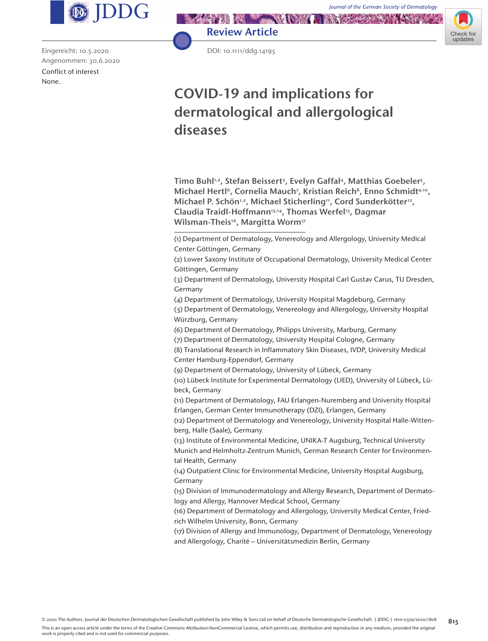Check for undates



Eingereicht: 10.5.2020 Angenommen: 30.6.2020 Conflict of interest None.



DOI: 10.1111/ddg.14195

# **COVID-19 and implications for dermatological and allergological diseases**

Timo Buhl1,2, Stefan Beissert3, Evelyn Gaffal4, Matthias Goebeler5, Michael Hertl<sup>6</sup>, Cornelia Mauch<sup>7</sup>, Kristian Reich<sup>8</sup>, Enno Schmidt<sup>9,10</sup>, Michael P. Schön<sup>1,2</sup>, Michael Sticherling<sup>11</sup>, Cord Sunderkötter<sup>12</sup>, Claudia Traidl-Hoffmann<sup>13,14</sup>, Thomas Werfel<sup>15</sup>, Dagmar Wilsman-Theis<sup>16</sup>, Margitta Worm<sup>17</sup>

(1) Department of Dermatology, Venereology and Allergology, University Medical Center Göttingen, Germany

(2) Lower Saxony Institute of Occupational Dermatology, University Medical Center Göttingen, Germany

(3) Department of Dermatology, University Hospital Carl Gustav Carus, TU Dresden, Germany

(4) Department of Dermatology, University Hospital Magdeburg, Germany

(5) Department of Dermatology, Venereology and Allergology, University Hospital Würzburg, Germany

(6) Department of Dermatology, Philipps University, Marburg, Germany

(7) Department of Dermatology, University Hospital Cologne, Germany

(8) Translational Research in Inflammatory Skin Diseases, IVDP, University Medical Center Hamburg-Eppendorf, Germany

(9) Department of Dermatology, University of Lübeck, Germany

(10) Lübeck Institute for Experimental Dermatology (LIED), University of Lübeck, Lübeck, Germany

(11) Department of Dermatology, FAU Erlangen-Nuremberg and University Hospital Erlangen, German Center Immunotherapy (DZI), Erlangen, Germany

(12) Department of Dermatology and Venereology, University Hospital Halle-Wittenberg, Halle (Saale), Germany

(13) Institute of Environmental Medicine, UNIKA-T Augsburg, Technical University

Munich and Helmholtz-Zentrum Munich, German Research Center for Environmental Health, Germany

(14) Outpatient Clinic for Environmental Medicine, University Hospital Augsburg, Germany

(15) Division of Immunodermatology and Allergy Research, Department of Dermatology and Allergy, Hannover Medical School, Germany

(16) Department of Dermatology and Allergology, University Medical Center, Friedrich Wilhelm University, Bonn, Germany

(17) Division of Allergy and Immunology, Department of Dermatology, Venereology and Allergology, Charité – Universitätsmedizin Berlin, Germany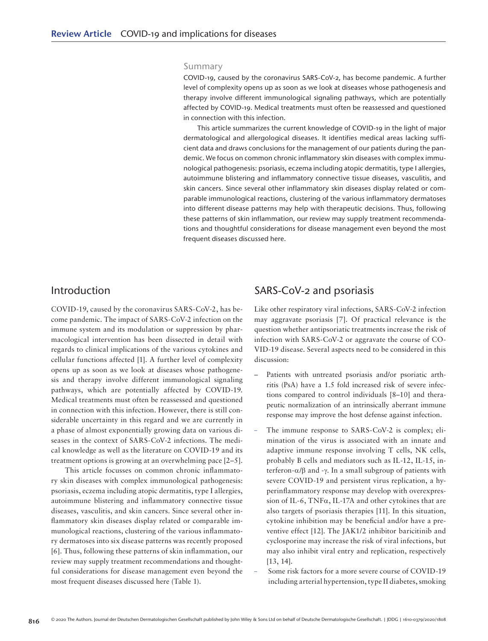#### Summary

COVID-19, caused by the coronavirus SARS-CoV-2, has become pandemic. A further level of complexity opens up as soon as we look at diseases whose pathogenesis and therapy involve different immunological signaling pathways, which are potentially affected by COVID-19. Medical treatments must often be reassessed and questioned in connection with this infection.

This article summarizes the current knowledge of COVID-19 in the light of major dermatological and allergological diseases. It identifies medical areas lacking sufficient data and draws conclusions for the management of our patients during the pandemic. We focus on common chronic inflammatory skin diseases with complex immunological pathogenesis: psoriasis, eczema including atopic dermatitis, type I allergies, autoimmune blistering and inflammatory connective tissue diseases, vasculitis, and skin cancers. Since several other inflammatory skin diseases display related or comparable immunological reactions, clustering of the various inflammatory dermatoses into different disease patterns may help with therapeutic decisions. Thus, following these patterns of skin inflammation, our review may supply treatment recommendations and thoughtful considerations for disease management even beyond the most frequent diseases discussed here.

#### Introduction

COVID-19, caused by the coronavirus SARS-CoV-2, has become pandemic. The impact of SARS-CoV-2 infection on the immune system and its modulation or suppression by pharmacological intervention has been dissected in detail with regards to clinical implications of the various cytokines and cellular functions affected [1]. A further level of complexity opens up as soon as we look at diseases whose pathogenesis and therapy involve different immunological signaling pathways, which are potentially affected by COVID-19. Medical treatments must often be reassessed and questioned in connection with this infection. However, there is still considerable uncertainty in this regard and we are currently in a phase of almost exponentially growing data on various diseases in the context of SARS-CoV-2 infections. The medical knowledge as well as the literature on COVID-19 and its treatment options is growing at an overwhelming pace [2–5].

This article focusses on common chronic inflammatory skin diseases with complex immunological pathogenesis: psoriasis, eczema including atopic dermatitis, type I allergies, autoimmune blistering and inflammatory connective tissue diseases, vasculitis, and skin cancers. Since several other inflammatory skin diseases display related or comparable immunological reactions, clustering of the various inflammatory dermatoses into six disease patterns was recently proposed [6]. Thus, following these patterns of skin inflammation, our review may supply treatment recommendations and thoughtful considerations for disease management even beyond the most frequent diseases discussed here (Table 1).

#### SARS-CoV-2 and psoriasis

Like other respiratory viral infections, SARS-CoV-2 infection may aggravate psoriasis [7]. Of practical relevance is the question whether antipsoriatic treatments increase the risk of infection with SARS-CoV-2 or aggravate the course of CO-VID-19 disease. Several aspects need to be considered in this discussion:

- Patients with untreated psoriasis and/or psoriatic arthritis (PsA) have a 1.5 fold increased risk of severe infections compared to control individuals [8–10] and therapeutic normalization of an intrinsically aberrant immune response may improve the host defense against infection.
- The immune response to SARS-CoV-2 is complex; elimination of the virus is associated with an innate and adaptive immune response involving T cells, NK cells, probably B cells and mediators such as IL-12, IL-15, interferon-α/β and -γ. In a small subgroup of patients with severe COVID-19 and persistent virus replication, a hyperinflammatory response may develop with overexpression of IL-6, TNFα, IL-17A and other cytokines that are also targets of psoriasis therapies [11]. In this situation, cytokine inhibition may be beneficial and/or have a preventive effect [12]. The JAK1/2 inhibitor baricitinib and cyclosporine may increase the risk of viral infections, but may also inhibit viral entry and replication, respectively [13, 14].
- Some risk factors for a more severe course of COVID-19 including arterial hypertension, type II diabetes, smoking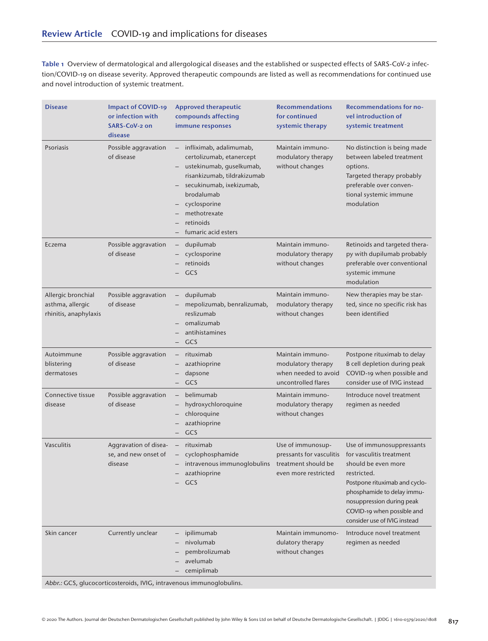Table 1 Overview of dermatological and allergological diseases and the established or suspected effects of SARS-CoV-2 infection/COVID-19 on disease severity. Approved therapeutic compounds are listed as well as recommendations for continued use and novel introduction of systemic treatment.

| <b>Disease</b>                                                  | <b>Impact of COVID-19</b><br>or infection with<br>SARS-CoV-2 on<br>disease | <b>Approved therapeutic</b><br>compounds affecting<br>immune responses                                                                                                                                                                                                                                                  | <b>Recommendations</b><br>for continued<br>systemic therapy                                  | <b>Recommendations for no-</b><br>vel introduction of<br>systemic treatment                                                                                                                                                                           |
|-----------------------------------------------------------------|----------------------------------------------------------------------------|-------------------------------------------------------------------------------------------------------------------------------------------------------------------------------------------------------------------------------------------------------------------------------------------------------------------------|----------------------------------------------------------------------------------------------|-------------------------------------------------------------------------------------------------------------------------------------------------------------------------------------------------------------------------------------------------------|
| Psoriasis                                                       | Possible aggravation<br>of disease                                         | infliximab, adalimumab,<br>$\overline{\phantom{0}}$<br>certolizumab, etanercept<br>ustekinumab, guselkumab,<br>$\qquad \qquad -$<br>risankizumab, tildrakizumab<br>secukinumab, ixekizumab,<br>$\qquad \qquad -$<br>brodalumab<br>cyclosporine<br>$\qquad \qquad -$<br>methotrexate<br>retinoids<br>fumaric acid esters | Maintain immuno-<br>modulatory therapy<br>without changes                                    | No distinction is being made<br>between labeled treatment<br>options.<br>Targeted therapy probably<br>preferable over conven-<br>tional systemic immune<br>modulation                                                                                 |
| Eczema                                                          | Possible aggravation<br>of disease                                         | dupilumab<br>$\qquad \qquad -$<br>cyclosporine<br>retinoids<br>GCS                                                                                                                                                                                                                                                      | Maintain immuno-<br>modulatory therapy<br>without changes                                    | Retinoids and targeted thera-<br>py with dupilumab probably<br>preferable over conventional<br>systemic immune<br>modulation                                                                                                                          |
| Allergic bronchial<br>asthma, allergic<br>rhinitis, anaphylaxis | Possible aggravation<br>of disease                                         | dupilumab<br>mepolizumab, benralizumab,<br>reslizumab<br>omalizumab<br>antihistamines<br>GCS                                                                                                                                                                                                                            | Maintain immuno-<br>modulatory therapy<br>without changes                                    | New therapies may be star-<br>ted, since no specific risk has<br>been identified                                                                                                                                                                      |
| Autoimmune<br>blistering<br>dermatoses                          | Possible aggravation<br>of disease                                         | rituximab<br>azathioprine<br>dapsone<br>GCS<br>$\overline{\phantom{0}}$                                                                                                                                                                                                                                                 | Maintain immuno-<br>modulatory therapy<br>when needed to avoid<br>uncontrolled flares        | Postpone rituximab to delay<br>B cell depletion during peak<br>COVID-19 when possible and<br>consider use of IVIG instead                                                                                                                             |
| Connective tissue<br>disease                                    | Possible aggravation<br>of disease                                         | belimumab<br>$\overline{\phantom{0}}$<br>hydroxychloroquine<br>chloroquine<br>azathioprine<br>GCS                                                                                                                                                                                                                       | Maintain immuno-<br>modulatory therapy<br>without changes                                    | Introduce novel treatment<br>regimen as needed                                                                                                                                                                                                        |
| Vasculitis                                                      | Aggravation of disea-<br>se, and new onset of<br>disease                   | rituximab<br>$\qquad \qquad -$<br>cyclophosphamide<br>intravenous immunoglobulins<br>azathioprine<br>GCS                                                                                                                                                                                                                | Use of immunosup-<br>pressants for vasculitis<br>treatment should be<br>even more restricted | Use of immunosuppressants<br>for vasculitis treatment<br>should be even more<br>restricted.<br>Postpone rituximab and cyclo-<br>phosphamide to delay immu-<br>nosuppression during peak<br>COVID-19 when possible and<br>consider use of IVIG instead |
| Skin cancer                                                     | Currently unclear                                                          | ipilimumab<br>nivolumab<br>pembrolizumab<br>avelumab<br>cemiplimab                                                                                                                                                                                                                                                      | Maintain immunomo-<br>dulatory therapy<br>without changes                                    | Introduce novel treatment<br>regimen as needed                                                                                                                                                                                                        |

Abbr.: GCS, glucocorticosteroids, IVIG, intravenous immunoglobulins.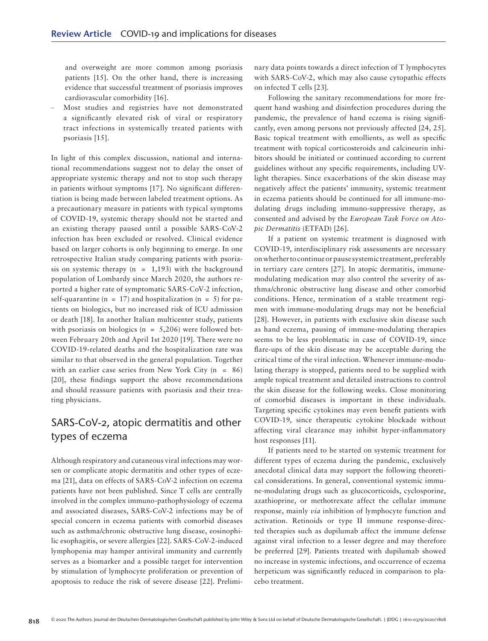and overweight are more common among psoriasis patients [15]. On the other hand, there is increasing evidence that successful treatment of psoriasis improves cardiovascular comorbidity [16].

– Most studies and registries have not demonstrated a significantly elevated risk of viral or respiratory tract infections in systemically treated patients with psoriasis [15].

In light of this complex discussion, national and international recommendations suggest not to delay the onset of appropriate systemic therapy and not to stop such therapy in patients without symptoms [17]. No significant differentiation is being made between labeled treatment options. As a precautionary measure in patients with typical symptoms of COVID-19, systemic therapy should not be started and an existing therapy paused until a possible SARS-CoV-2 infection has been excluded or resolved. Clinical evidence based on larger cohorts is only beginning to emerge. In one retrospective Italian study comparing patients with psoriasis on systemic therapy  $(n = 1,193)$  with the background population of Lombardy since March 2020, the authors reported a higher rate of symptomatic SARS-CoV-2 infection, self-quarantine (n = 17) and hospitalization (n = 5) for patients on biologics, but no increased risk of ICU admission or death [18]. In another Italian multicenter study, patients with psoriasis on biologics ( $n = 5,206$ ) were followed between February 20th and April 1st 2020 [19]. There were no COVID-19-related deaths and the hospitalization rate was similar to that observed in the general population. Together with an earlier case series from New York City  $(n = 86)$ [20], these findings support the above recommendations and should reassure patients with psoriasis and their treating physicians.

# SARS-CoV-2, atopic dermatitis and other types of eczema

Although respiratory and cutaneous viral infections may worsen or complicate atopic dermatitis and other types of eczema [21], data on effects of SARS-CoV-2 infection on eczema patients have not been published. Since T cells are centrally involved in the complex immuno-pathophysiology of eczema and associated diseases, SARS-CoV-2 infections may be of special concern in eczema patients with comorbid diseases such as asthma/chronic obstructive lung disease, eosinophilic esophagitis, or severe allergies [22]. SARS-CoV-2-induced lymphopenia may hamper antiviral immunity and currently serves as a biomarker and a possible target for intervention by stimulation of lymphocyte proliferation or prevention of apoptosis to reduce the risk of severe disease [22]. Preliminary data points towards a direct infection of T lymphocytes with SARS-CoV-2, which may also cause cytopathic effects on infected T cells [23].

Following the sanitary recommendations for more frequent hand washing and disinfection procedures during the pandemic, the prevalence of hand eczema is rising significantly, even among persons not previously affected [24, 25]. Basic topical treatment with emollients, as well as specific treatment with topical corticosteroids and calcineurin inhibitors should be initiated or continued according to current guidelines without any specific requirements, including UVlight therapies. Since exacerbations of the skin disease may negatively affect the patients' immunity, systemic treatment in eczema patients should be continued for all immune-modulating drugs including immuno-suppressive therapy, as consented and advised by the *European Task Force on Atopic Dermatitis* (ETFAD) [26].

If a patient on systemic treatment is diagnosed with COVID-19, interdisciplinary risk assessments are necessary on whether to continue or pause systemic treatment, preferably in tertiary care centers [27]. In atopic dermatitis, immunemodulating medication may also control the severity of asthma/chronic obstructive lung disease and other comorbid conditions. Hence, termination of a stable treatment regimen with immune-modulating drugs may not be beneficial [28]. However, in patients with exclusive skin disease such as hand eczema, pausing of immune-modulating therapies seems to be less problematic in case of COVID-19, since flare-ups of the skin disease may be acceptable during the critical time of the viral infection. Whenever immune-modulating therapy is stopped, patients need to be supplied with ample topical treatment and detailed instructions to control the skin disease for the following weeks. Close monitoring of comorbid diseases is important in these individuals. Targeting specific cytokines may even benefit patients with COVID-19, since therapeutic cytokine blockade without affecting viral clearance may inhibit hyper-inflammatory host responses [11].

If patients need to be started on systemic treatment for different types of eczema during the pandemic, exclusively anecdotal clinical data may support the following theoretical considerations. In general, conventional systemic immune-modulating drugs such as glucocorticoids, cyclosporine, azathioprine, or methotrexate affect the cellular immune response, mainly *via* inhibition of lymphocyte function and activation. Retinoids or type II immune response-directed therapies such as dupilumab affect the immune defense against viral infection to a lesser degree and may therefore be preferred [29]. Patients treated with dupilumab showed no increase in systemic infections, and occurrence of eczema herpeticum was significantly reduced in comparison to placebo treatment.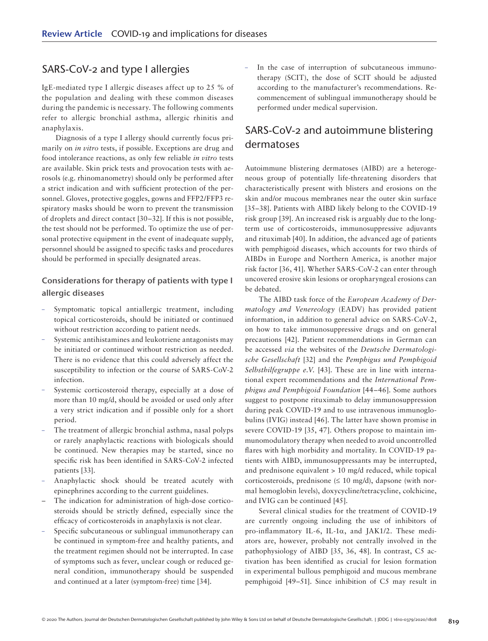# SARS-CoV-2 and type I allergies

IgE-mediated type I allergic diseases affect up to 25 % of the population and dealing with these common diseases during the pandemic is necessary. The following comments refer to allergic bronchial asthma, allergic rhinitis and anaphylaxis.

Diagnosis of a type I allergy should currently focus primarily on *in vitro* tests, if possible. Exceptions are drug and food intolerance reactions, as only few reliable *in vitro* tests are available. Skin prick tests and provocation tests with aerosols (e.g. rhinomanometry) should only be performed after a strict indication and with sufficient protection of the personnel. Gloves, protective goggles, gowns and FFP2/FFP3 respiratory masks should be worn to prevent the transmission of droplets and direct contact [30–32]. If this is not possible, the test should not be performed. To optimize the use of personal protective equipment in the event of inadequate supply, personnel should be assigned to specific tasks and procedures should be performed in specially designated areas.

#### Considerations for therapy of patients with type I allergic diseases

- Symptomatic topical antiallergic treatment, including topical corticosteroids, should be initiated or continued without restriction according to patient needs.
- Systemic antihistamines and leukotriene antagonists may be initiated or continued without restriction as needed. There is no evidence that this could adversely affect the susceptibility to infection or the course of SARS-CoV-2 infection.
- Systemic corticosteroid therapy, especially at a dose of more than 10 mg/d, should be avoided or used only after a very strict indication and if possible only for a short period.
- The treatment of allergic bronchial asthma, nasal polyps or rarely anaphylactic reactions with biologicals should be continued. New therapies may be started, since no specific risk has been identified in SARS-CoV-2 infected patients [33].
- Anaphylactic shock should be treated acutely with epinephrines according to the current guidelines.
- The indication for administration of high-dose corticosteroids should be strictly defined, especially since the efficacy of corticosteroids in anaphylaxis is not clear.
- Specific subcutaneous or sublingual immunotherapy can be continued in symptom-free and healthy patients, and the treatment regimen should not be interrupted. In case of symptoms such as fever, unclear cough or reduced general condition, immunotherapy should be suspended and continued at a later (symptom-free) time [34].

– In the case of interruption of subcutaneous immunotherapy (SCIT), the dose of SCIT should be adjusted according to the manufacturer's recommendations. Recommencement of sublingual immunotherapy should be performed under medical supervision.

# SARS-CoV-2 and autoimmune blistering dermatoses

Autoimmune blistering dermatoses (AIBD) are a heterogeneous group of potentially life-threatening disorders that characteristically present with blisters and erosions on the skin and/or mucous membranes near the outer skin surface [35–38]. Patients with AIBD likely belong to the COVID-19 risk group [39]. An increased risk is arguably due to the longterm use of corticosteroids, immunosuppressive adjuvants and rituximab [40]. In addition, the advanced age of patients with pemphigoid diseases, which accounts for two thirds of AIBDs in Europe and Northern America, is another major risk factor [36, 41]. Whether SARS-CoV-2 can enter through uncovered erosive skin lesions or oropharyngeal erosions can be debated.

The AIBD task force of the *European Academy of Dermatology and Venereology* (EADV) has provided patient information, in addition to general advice on SARS-CoV-2, on how to take immunosuppressive drugs and on general precautions [42]. Patient recommendations in German can be accessed *via* the websites of the *Deutsche Dermatologische Gesellschaft* [32] and the *Pemphigus und Pemphigoid Selbsthilfegruppe e.V.* [43]. These are in line with international expert recommendations and the *International Pemphigus and Pemphigoid Foundation* [44–46]. Some authors suggest to postpone rituximab to delay immunosuppression during peak COVID-19 and to use intravenous immunoglobulins (IVIG) instead [46]. The latter have shown promise in severe COVID-19 [35, 47]. Others propose to maintain immunomodulatory therapy when needed to avoid uncontrolled flares with high morbidity and mortality. In COVID-19 patients with AIBD, immunosuppressants may be interrupted, and prednisone equivalent > 10 mg/d reduced, while topical corticosteroids, prednisone  $(\leq 10 \text{ mg/d})$ , dapsone (with normal hemoglobin levels), doxycycline/tetracycline, colchicine, and IVIG can be continued [45].

Several clinical studies for the treatment of COVID-19 are currently ongoing including the use of inhibitors of pro-inflammatory IL-6, IL-1α, and JAK1/2. These mediators are, however, probably not centrally involved in the pathophysiology of AIBD [35, 36, 48]. In contrast, C5 activation has been identified as crucial for lesion formation in experimental bullous pemphigoid and mucous membrane pemphigoid [49–51]. Since inhibition of C5 may result in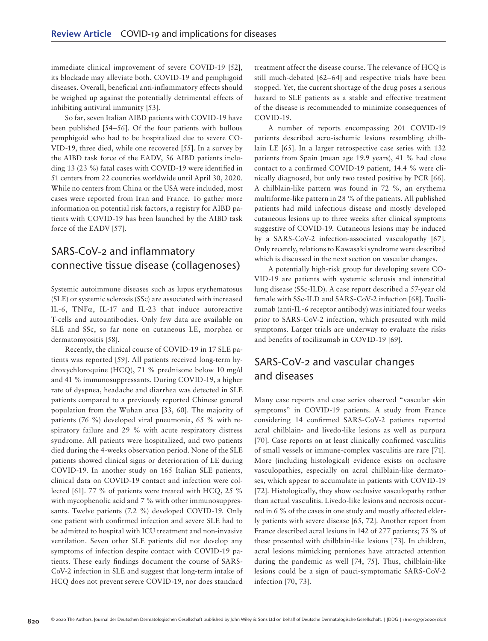immediate clinical improvement of severe COVID-19 [52], its blockade may alleviate both, COVID-19 and pemphigoid diseases. Overall, beneficial anti-inflammatory effects should be weighed up against the potentially detrimental effects of inhibiting antiviral immunity [53].

So far, seven Italian AIBD patients with COVID-19 have been published [54–56]. Of the four patients with bullous pemphigoid who had to be hospitalized due to severe CO-VID-19, three died, while one recovered [55]. In a survey by the AIBD task force of the EADV, 56 AIBD patients including 13 (23 %) fatal cases with COVID-19 were identified in 51 centers from 22 countries worldwide until April 30, 2020. While no centers from China or the USA were included, most cases were reported from Iran and France. To gather more information on potential risk factors, a registry for AIBD patients with COVID-19 has been launched by the AIBD task force of the EADV [57].

# SARS-CoV-2 and inflammatory connective tissue disease (collagenoses)

Systemic autoimmune diseases such as lupus erythematosus (SLE) or systemic sclerosis (SSc) are associated with increased IL-6, TNF $\alpha$ , IL-17 and IL-23 that induce autoreactive T-cells and autoantibodies. Only few data are available on SLE and SSc, so far none on cutaneous LE, morphea or dermatomyositis [58].

Recently, the clinical course of COVID-19 in 17 SLE patients was reported [59]. All patients received long-term hydroxychloroquine (HCQ), 71 % prednisone below 10 mg/d and 41 % immunosuppressants. During COVID-19, a higher rate of dyspnea, headache and diarrhea was detected in SLE patients compared to a previously reported Chinese general population from the Wuhan area [33, 60]. The majority of patients (76 %) developed viral pneumonia, 65 % with respiratory failure and 29 % with acute respiratory distress syndrome. All patients were hospitalized, and two patients died during the 4-weeks observation period. None of the SLE patients showed clinical signs or deterioration of LE during COVID-19. In another study on 165 Italian SLE patients, clinical data on COVID-19 contact and infection were collected [61]. 77 % of patients were treated with HCQ, 25 % with mycophenolic acid and 7 % with other immunosuppressants. Twelve patients (7.2 %) developed COVID-19. Only one patient with confirmed infection and severe SLE had to be admitted to hospital with ICU treatment and non-invasive ventilation. Seven other SLE patients did not develop any symptoms of infection despite contact with COVID-19 patients. These early findings document the course of SARS-CoV-2 infection in SLE and suggest that long-term intake of HCQ does not prevent severe COVID-19, nor does standard

treatment affect the disease course. The relevance of HCQ is still much-debated [62–64] and respective trials have been stopped. Yet, the current shortage of the drug poses a serious hazard to SLE patients as a stable and effective treatment of the disease is recommended to minimize consequences of COVID-19.

A number of reports encompassing 201 COVID-19 patients described acro-ischemic lesions resembling chilblain LE [65]. In a larger retrospective case series with 132 patients from Spain (mean age 19.9 years), 41 % had close contact to a confirmed COVID-19 patient, 14.4 % were clinically diagnosed, but only two tested positive by PCR [66]. A chilblain-like pattern was found in 72 %, an erythema multiforme-like pattern in 28 % of the patients. All published patients had mild infectious disease and mostly developed cutaneous lesions up to three weeks after clinical symptoms suggestive of COVID-19. Cutaneous lesions may be induced by a SARS-CoV-2 infection-associated vasculopathy [67]. Only recently, relations to Kawasaki syndrome were described which is discussed in the next section on vascular changes.

A potentially high-risk group for developing severe CO-VID-19 are patients with systemic sclerosis and interstitial lung disease (SSc-ILD). A case report described a 57-year old female with SSc-ILD and SARS-CoV-2 infection [68]. Tocilizumab (anti-IL-6 receptor antibody) was initiated four weeks prior to SARS-CoV-2 infection, which presented with mild symptoms. Larger trials are underway to evaluate the risks and benefits of tocilizumab in COVID-19 [69].

# SARS-CoV-2 and vascular changes and diseases

Many case reports and case series observed "vascular skin symptoms" in COVID-19 patients. A study from France considering 14 confirmed SARS-CoV-2 patients reported acral chilblain- and livedo-like lesions as well as purpura [70]. Case reports on at least clinically confirmed vasculitis of small vessels or immune-complex vasculitis are rare [71]. More (including histological) evidence exists on occlusive vasculopathies, especially on acral chilblain-like dermatoses, which appear to accumulate in patients with COVID-19 [72]. Histologically, they show occlusive vasculopathy rather than actual vasculitis. Livedo-like lesions and necrosis occurred in 6 % of the cases in one study and mostly affected elderly patients with severe disease [65, 72]. Another report from France described acral lesions in 142 of 277 patients; 75 % of these presented with chilblain-like lesions [73]. In children, acral lesions mimicking perniones have attracted attention during the pandemic as well [74, 75]. Thus, chilblain-like lesions could be a sign of pauci-symptomatic SARS-CoV-2 infection [70, 73].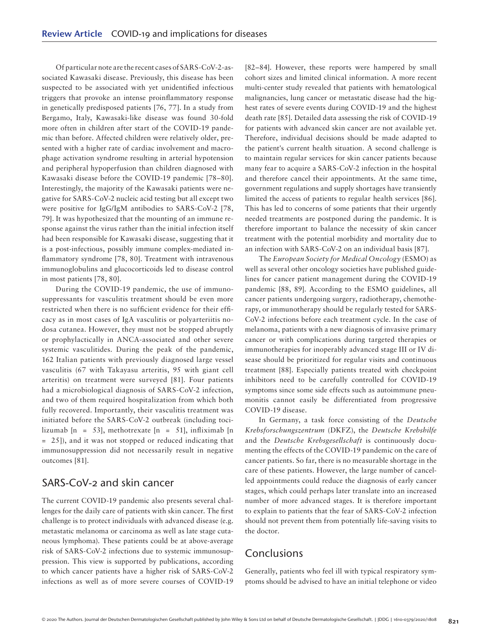Of particular note are the recent cases of SARS-CoV-2-associated Kawasaki disease. Previously, this disease has been suspected to be associated with yet unidentified infectious triggers that provoke an intense proinflammatory response in genetically predisposed patients [76, 77]. In a study from Bergamo, Italy, Kawasaki-like disease was found 30-fold more often in children after start of the COVID-19 pandemic than before. Affected children were relatively older, presented with a higher rate of cardiac involvement and macrophage activation syndrome resulting in arterial hypotension and peripheral hypoperfusion than children diagnosed with Kawasaki disease before the COVID-19 pandemic [78–80]. Interestingly, the majority of the Kawasaki patients were negative for SARS-CoV-2 nucleic acid testing but all except two were positive for IgG/IgM antibodies to SARS-CoV-2 [78, 79]. It was hypothesized that the mounting of an immune response against the virus rather than the initial infection itself had been responsible for Kawasaki disease, suggesting that it is a post-infectious, possibly immune complex-mediated inflammatory syndrome [78, 80]. Treatment with intravenous immunoglobulins and glucocorticoids led to disease control in most patients [78, 80].

During the COVID-19 pandemic, the use of immunosuppressants for vasculitis treatment should be even more restricted when there is no sufficient evidence for their efficacy as in most cases of IgA vasculitis or polyarteriitis nodosa cutanea. However, they must not be stopped abruptly or prophylactically in ANCA-associated and other severe systemic vasculitides. During the peak of the pandemic, 162 Italian patients with previously diagnosed large vessel vasculitis (67 with Takayasu arteritis, 95 with giant cell arteritis) on treatment were surveyed [81]. Four patients had a microbiological diagnosis of SARS-CoV-2 infection, and two of them required hospitalization from which both fully recovered. Importantly, their vasculitis treatment was initiated before the SARS-CoV-2 outbreak (including tocilizumab  $[n = 53]$ , methotrexate  $[n = 51]$ , infliximab  $[n]$ = 25]), and it was not stopped or reduced indicating that immunosuppression did not necessarily result in negative outcomes [81].

#### SARS-CoV-2 and skin cancer

The current COVID-19 pandemic also presents several challenges for the daily care of patients with skin cancer. The first challenge is to protect individuals with advanced disease (e.g. metastatic melanoma or carcinoma as well as late stage cutaneous lymphoma). These patients could be at above-average risk of SARS-CoV-2 infections due to systemic immunosuppression. This view is supported by publications, according to which cancer patients have a higher risk of SARS-CoV-2 infections as well as of more severe courses of COVID-19 [82–84]. However, these reports were hampered by small cohort sizes and limited clinical information. A more recent multi-center study revealed that patients with hematological malignancies, lung cancer or metastatic disease had the highest rates of severe events during COVID-19 and the highest death rate [85]. Detailed data assessing the risk of COVID-19 for patients with advanced skin cancer are not available yet. Therefore, individual decisions should be made adapted to the patient's current health situation. A second challenge is to maintain regular services for skin cancer patients because many fear to acquire a SARS-CoV-2 infection in the hospital and therefore cancel their appointments. At the same time, government regulations and supply shortages have transiently limited the access of patients to regular health services [86]. This has led to concerns of some patients that their urgently needed treatments are postponed during the pandemic. It is therefore important to balance the necessity of skin cancer treatment with the potential morbidity and mortality due to an infection with SARS-CoV-2 on an individual basis [87].

The *European Society for Medical Oncology* (ESMO) as well as several other oncology societies have published guidelines for cancer patient management during the COVID-19 pandemic [88, 89]. According to the ESMO guidelines, all cancer patients undergoing surgery, radiotherapy, chemotherapy, or immunotherapy should be regularly tested for SARS-CoV-2 infections before each treatment cycle. In the case of melanoma, patients with a new diagnosis of invasive primary cancer or with complications during targeted therapies or immunotherapies for inoperably advanced stage III or IV disease should be prioritized for regular visits and continuous treatment [88]. Especially patients treated with checkpoint inhibitors need to be carefully controlled for COVID-19 symptoms since some side effects such as autoimmune pneumonitis cannot easily be differentiated from progressive COVID-19 disease.

In Germany, a task force consisting of the *Deutsche Krebsforschungszentrum* (DKFZ), the *Deutsche Krebshilfe* and the *Deutsche Krebsgesellschaft* is continuously documenting the effects of the COVID-19 pandemic on the care of cancer patients. So far, there is no measurable shortage in the care of these patients. However, the large number of cancelled appointments could reduce the diagnosis of early cancer stages, which could perhaps later translate into an increased number of more advanced stages. It is therefore important to explain to patients that the fear of SARS-CoV-2 infection should not prevent them from potentially life-saving visits to the doctor.

# **Conclusions**

Generally, patients who feel ill with typical respiratory symptoms should be advised to have an initial telephone or video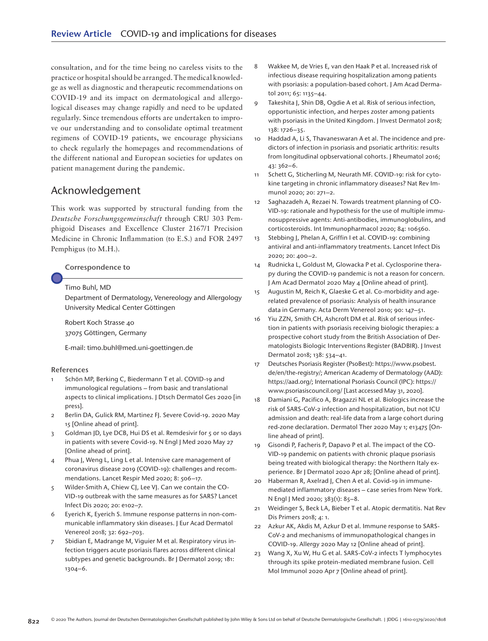consultation, and for the time being no careless visits to the practice or hospital should be arranged. The medical knowledge as well as diagnostic and therapeutic recommendations on COVID-19 and its impact on dermatological and allergological diseases may change rapidly and need to be updated regularly. Since tremendous efforts are undertaken to improve our understanding and to consolidate optimal treatment regimens of COVID-19 patients, we encourage physicians to check regularly the homepages and recommendations of the different national and European societies for updates on patient management during the pandemic.

# Acknowledgement

This work was supported by structural funding from the *Deutsche Forschungsgemeinschaft* through CRU 303 Pemphigoid Diseases and Excellence Cluster 2167/1 Precision Medicine in Chronic Inflammation (to E.S.) and FOR 2497 Pemphigus (to M.H.).

Correspondence to

Timo Buhl, MD

Department of Dermatology, Venereology and Allergology University Medical Center Göttingen

Robert Koch Strasse 40 37075 Göttingen, Germany

E-mail: timo.buhl@med.uni-goettingen.de

#### References

- Schön MP, Berking C, Biedermann T et al. COVID-19 and immunological regulations – from basic and translational aspects to clinical implications. J Dtsch Dermatol Ges 2020 [in press].
- 2 Berlin DA, Gulick RM, Martinez FJ. Severe Covid-19. 2020 May 15 [Online ahead of print].
- 3 Goldman JD, Lye DCB, Hui DS et al. Remdesivir for 5 or 10 days in patients with severe Covid-19. N Engl J Med 2020 May 27 [Online ahead of print].
- 4 Phua J, Weng L, Ling L et al. Intensive care management of coronavirus disease 2019 (COVID-19): challenges and recommendations. Lancet Respir Med 2020; 8: 506–17.
- 5 Wilder-Smith A, Chiew CJ, Lee VJ. Can we contain the CO-VID-19 outbreak with the same measures as for SARS? Lancet Infect Dis 2020; 20: e102–7.
- 6 Eyerich K, Eyerich S. Immune response patterns in non-communicable inflammatory skin diseases. J Eur Acad Dermatol Venereol 2018; 32: 692–703.
- 7 Sbidian E, Madrange M, Viguier M et al. Respiratory virus infection triggers acute psoriasis flares across different clinical subtypes and genetic backgrounds. Br J Dermatol 2019; 181: 1304–6.
- 8 Wakkee M, de Vries E, van den Haak P et al. Increased risk of infectious disease requiring hospitalization among patients with psoriasis: a population-based cohort. J Am Acad Dermatol 2011; 65: 1135–44.
- 9 Takeshita J, Shin DB, Ogdie A et al. Risk of serious infection, opportunistic infection, and herpes zoster among patients with psoriasis in the United Kingdom. J Invest Dermatol 2018; 138: 1726–35.
- 10 Haddad A, Li S, Thavaneswaran A et al. The incidence and predictors of infection in psoriasis and psoriatic arthritis: results from longitudinal opbservational cohorts. J Rheumatol 2016; 43: 362–6.
- 11 Schett G, Sticherling M, Neurath MF. COVID-19: risk for cytokine targeting in chronic inflammatory diseases? Nat Rev Immunol 2020; 20: 271–2.
- 12 Saghazadeh A, Rezaei N. Towards treatment planning of CO-VID-19: rationale and hypothesis for the use of multiple immunosuppressive agents: Anti-antibodies, immunoglobulins, and corticosteroids. Int Immunopharmacol 2020; 84: 106560.
- 13 Stebbing J, Phelan A, Griffin I et al. COVID-19: combining antiviral and anti-inflammatory treatments. Lancet Infect Dis 2020; 20: 400–2.
- 14 Rudnicka L, Goldust M, Glowacka P et al. Cyclosporine therapy during the COVID-19 pandemic is not a reason for concern. J Am Acad Dermatol 2020 May 4 [Online ahead of print].
- 15 Augustin M, Reich K, Glaeske G et al. Co-morbidity and agerelated prevalence of psoriasis: Analysis of health insurance data in Germany. Acta Derm Venereol 2010; 90: 147–51.
- 16 Yiu ZZN, Smith CH, Ashcroft DM et al. Risk of serious infection in patients with psoriasis receiving biologic therapies: a prospective cohort study from the British Association of Dermatologists Biologic Interventions Register (BADBIR). J Invest Dermatol 2018; 138: 534–41.
- 17 Deutsches Psoriasis Register (PsoBest): https://www.psobest. de/en/the-registry/; American Academy of Dermatology (AAD): https://aad.org/; International Psoriasis Council (IPC): https:// www.psoriasiscouncil.org/ [Last accessed May 31, 2020].
- 18 Damiani G, Pacifico A, Bragazzi NL et al. Biologics increase the risk of SARS-CoV-2 infection and hospitalization, but not ICU admission and death: real-life data from a large cohort during red-zone declaration. Dermatol Ther 2020 May 1; e13475 [Online ahead of print].
- 19 Gisondi P, Facheris P, Dapavo P et al. The impact of the CO-VID-19 pandemic on patients with chronic plaque psoriasis being treated with biological therapy: the Northern Italy experience. Br J Dermatol 2020 Apr 28; [Online ahead of print].
- 20 Haberman R, Axelrad J, Chen A et al. Covid-19 in immunemediated inflammatory diseases – case series from New York. N Engl J Med 2020; 383(1): 85–8.
- 21 Weidinger S, Beck LA, Bieber T et al. Atopic dermatitis. Nat Rev Dis Primers 2018; 4: 1.
- 22 Azkur AK, Akdis M, Azkur D et al. Immune response to SARS-CoV-2 and mechanisms of immunopathological changes in COVID-19. Allergy 2020 May 12 [Online ahead of print].
- 23 Wang X, Xu W, Hu G et al. SARS-CoV-2 infects T lymphocytes through its spike protein-mediated membrane fusion. Cell Mol Immunol 2020 Apr 7 [Online ahead of print].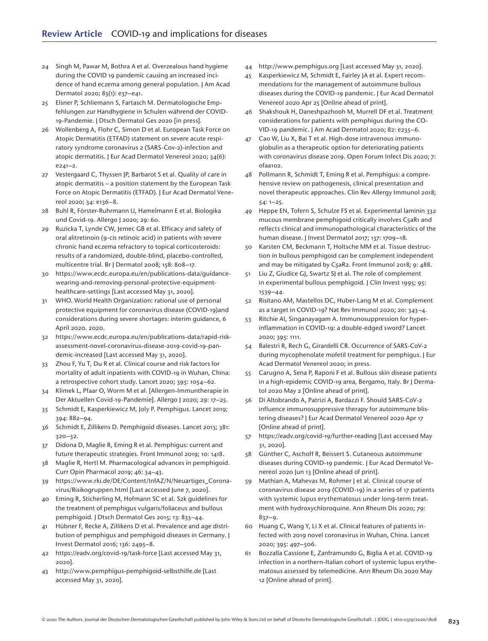- 24 Singh M, Pawar M, Bothra A et al. Overzealous hand hygiene during the COVID 19 pandemic causing an increased incidence of hand eczema among general population. J Am Acad Dermatol 2020; 83(1): e37–e41.
- 25 Elsner P, Schliemann S, Fartasch M. Dermatologische Empfehlungen zur Handhygiene in Schulen während der COVID-19-Pandemie. J Dtsch Dermatol Ges 2020 [in press].
- 26 Wollenberg A, Flohr C, Simon D et al. European Task Force on Atopic Dermatitis (ETFAD) statement on severe acute respiratory syndrome coronavirus 2 (SARS-Cov-2)-infection and atopic dermatitis. J Eur Acad Dermatol Venereol 2020; 34(6): e241–2.
- 27 Vestergaard C, Thyssen JP, Barbarot S et al. Quality of care in atopic dermatitis – a position statement by the European Task Force on Atopic Dermatitis (ETFAD). J Eur Acad Dermatol Venereol 2020; 34: e136–8.
- 28 Buhl R, Förster-Ruhrmann U, Hamelmann E et al. Biologika und Covid-19. Allergo J 2020; 29: 60.
- 29 Ruzicka T, Lynde CW, Jemec GB et al. Efficacy and safety of oral alitretinoin (9-cis retinoic acid) in patients with severe chronic hand eczema refractory to topical corticosteroids: results of a randomized, double-blind, placebo-controlled, multicentre trial. Br J Dermatol 2008; 158: 808–17.
- 30 https://www.ecdc.europa.eu/en/publications-data/guidancewearing-and-removing-personal-protective-equipmenthealthcare-settings [Last accessed May 31, 2020].
- 31 WHO. World Health Organization: rational use of personal protective equipment for coronavirus disease (COVID-19)and considerations during severe shortages: interim guidance, 6 April 2020. 2020.
- 32 https://www.ecdc.europa.eu/en/publications-data/rapid-riskassessment-novel-coronavirus-disease-2019-covid-19-pandemic-increased [Last accessed May 31, 2020].
- 33 Zhou F, Yu T, Du R et al. Clinical course and risk factors for mortality of adult inpatients with COVID-19 in Wuhan, China: a retrospective cohort study. Lancet 2020; 395: 1054–62.
- 34 Klimek L, Pfaar O, Worm M et al. [Allergen-Immuntherapie in Der Aktuellen Covid-19-Pandemie]. Allergo J 2020; 29: 17–25.
- 35 Schmidt E, Kasperkiewicz M, Joly P. Pemphigus. Lancet 2019; 394: 882–94.
- 36 Schmidt E, Zillikens D. Pemphigoid diseases. Lancet 2013; 381: 320–32.
- 37 Didona D, Maglie R, Eming R et al. Pemphigus: current and future therapeutic strategies. Front Immunol 2019; 10: 1418.
- 38 Maglie R, Hertl M. Pharmacological advances in pemphigoid. Curr Opin Pharmacol 2019; 46: 34–43.
- 39 https://www.rki.de/DE/Content/InfAZ/N/Neuartiges\_Coronavirus/Risikogruppen.html [Last accessed June 7, 2020].
- 40 Eming R, Sticherling M, Hofmann SC et al. S2k guidelines for the treatment of pemphigus vulgaris/foliaceus and bullous pemphigoid. J Dtsch Dermatol Ges 2015; 13: 833–44.
- 41 Hübner F, Recke A, Zillikens D et al. Prevalence and age distribution of pemphigus and pemphigoid diseases in Germany. J Invest Dermatol 2016; 136: 2495–8.
- 42 https://eadv.org/covid-19/task-force [Last accessed May 31, 2020].
- 43 <http://www.pemphigus-pemphigoid-selbsthilfe.de>[Last accessed May 31, 2020].
- 44 http://www.pemphigus.org [Last accessed May 31, 2020].
- 45 Kasperkiewicz M, Schmidt E, Fairley JA et al. Expert recommendations for the management of autoimmune bullous diseases during the COVID-19 pandemic. J Eur Acad Dermatol Venereol 2020 Apr 25 [Online ahead of print].
- 46 Shakshouk H, Daneshpazhooh M, Murrell DF et al. Treatment considerations for patients with pemphigus during the CO-VID-19 pandemic. J Am Acad Dermatol 2020; 82: e235–6.
- 47 Cao W, Liu X, Bai T et al. High-dose intravenous immunoglobulin as a therapeutic option for deteriorating patients with coronavirus disease 2019. Open Forum Infect Dis 2020; 7: ofaa102.
- 48 Pollmann R, Schmidt T, Eming R et al. Pemphigus: a comprehensive review on pathogenesis, clinical presentation and novel therapeutic approaches. Clin Rev Allergy Immunol 2018; 54: 1–25.
- 49 Heppe EN, Tofern S, Schulze FS et al. Experimental laminin 332 mucous membrane pemphigoid critically involves C5aR1 and reflects clinical and immunopathological characteristics of the human disease. J Invest Dermatol 2017; 137: 1709–18.
- 50 Karsten CM, Beckmann T, Holtsche MM et al. Tissue destruction in bullous pemphigoid can be complement independent and may be mitigated by C5aR2. Front Immunol 2018; 9: 488.
- 51 Liu Z, Giudice GJ, Swartz SJ et al. The role of complement in experimental bullous pemphigoid. J Clin Invest 1995; 95: 1539–44.
- 52 Risitano AM, Mastellos DC, Huber-Lang M et al. Complement as a target in COVID-19? Nat Rev Immunol 2020; 20: 343–4.
- 53 Ritchie AI, Singanayagam A. Immunosuppression for hyperinflammation in COVID-19: a double-edged sword? Lancet 2020; 395: 1111.
- 54 Balestri R, Rech G, Girardelli CR. Occurrence of SARS-CoV-2 during mycophenolate mofetil treatment for pemphigus. J Eur Acad Dermatol Venereol 2020; in press.
- 55 Carugno A, Sena P, Raponi F et al. Bullous skin disease patients in a high-epidemic COVID-19 area, Bergamo, Italy. Br J Dermatol 2020 May 2 [Online ahead of print].
- 56 Di Altobrando A, Patrizi A, Bardazzi F. Should SARS-CoV-2 influence immunosuppressive therapy for autoimmune blistering diseases? J Eur Acad Dermatol Venereol 2020 Apr 17 [Online ahead of print].
- 57 https://eadv.org/covid-19/further-reading [Last accessed May 31, 2020].
- 58 Günther C, Aschoff R, Beissert S. Cutaneous autoimmune diseases during COVID-19 pandemic. J Eur Acad Dermatol Venereol 2020 Jun 13 [Online ahead of print].
- 59 Mathian A, Mahevas M, Rohmer J et al. Clinical course of coronavirus disease 2019 (COVID-19) in a series of 17 patients with systemic lupus erythematosus under long-term treatment with hydroxychloroquine. Ann Rheum Dis 2020; 79: 837–9.
- 60 Huang C, Wang Y, Li X et al. Clinical features of patients infected with 2019 novel coronavirus in Wuhan, China. Lancet 2020; 395: 497–506.
- 61 Bozzalla Cassione E, Zanframundo G, Biglia A et al. COVID-19 infection in a northern-Italian cohort of systemic lupus erythematosus assessed by telemedicine. Ann Rheum Dis 2020 May 12 [Online ahead of print].